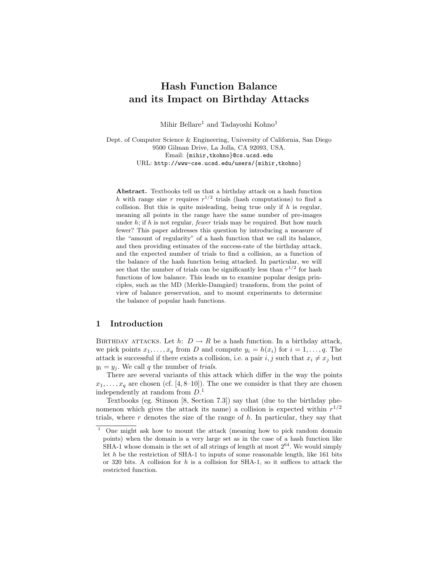# Hash Function Balance and its Impact on Birthday Attacks

Mihir Bellare<sup>1</sup> and Tadayoshi Kohno<sup>1</sup>

Dept. of Computer Science & Engineering, University of California, San Diego 9500 Gilman Drive, La Jolla, CA 92093, USA. Email: {mihir,tkohno}@cs.ucsd.edu URL: http://www-cse.ucsd.edu/users/{mihir,tkohno}

Abstract. Textbooks tell us that a birthday attack on a hash function h with range size r requires  $r^{1/2}$  trials (hash computations) to find a collision. But this is quite misleading, being true only if  $h$  is regular, meaning all points in the range have the same number of pre-images under  $h$ ; if  $h$  is not regular, *fewer* trials may be required. But how much fewer? This paper addresses this question by introducing a measure of the "amount of regularity" of a hash function that we call its balance, and then providing estimates of the success-rate of the birthday attack, and the expected number of trials to find a collision, as a function of the balance of the hash function being attacked. In particular, we will see that the number of trials can be significantly less than  $r^{1/2}$  for hash functions of low balance. This leads us to examine popular design principles, such as the MD (Merkle-Damgård) transform, from the point of view of balance preservation, and to mount experiments to determine the balance of popular hash functions.

# 1 Introduction

BIRTHDAY ATTACKS. Let  $h: D \to R$  be a hash function. In a birthday attack, we pick points  $x_1, \ldots, x_q$  from D and compute  $y_i = h(x_i)$  for  $i = 1, \ldots, q$ . The attack is successful if there exists a collision, i.e. a pair  $i, j$  such that  $x_i \neq x_j$  but  $y_i = y_j$ . We call q the number of *trials*.

There are several variants of this attack which differ in the way the points  $x_1, \ldots, x_q$  are chosen (cf. [4, 8–10]). The one we consider is that they are chosen independently at random from  $D<sup>1</sup>$ .

Textbooks (eg. Stinson [8, Section 7.3]) say that (due to the birthday phenomenon which gives the attack its name) a collision is expected within  $r^{1/2}$ trials, where  $r$  denotes the size of the range of  $h$ . In particular, they say that

<sup>1</sup> One might ask how to mount the attack (meaning how to pick random domain points) when the domain is a very large set as in the case of a hash function like SHA-1 whose domain is the set of all strings of length at most  $2^{64}$ . We would simply let  $h$  be the restriction of SHA-1 to inputs of some reasonable length, like 161 bits or 320 bits. A collision for  $h$  is a collision for SHA-1, so it suffices to attack the restricted function.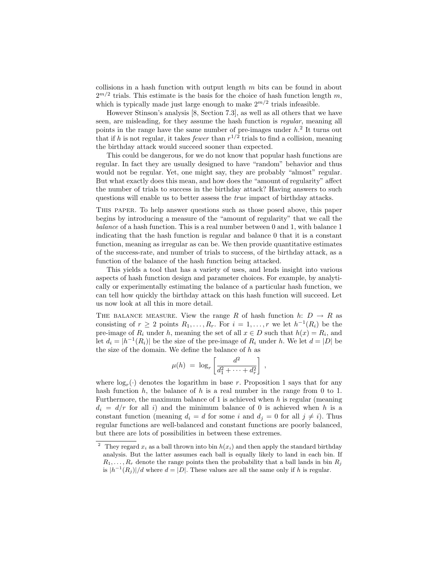collisions in a hash function with output length  $m$  bits can be found in about  $2^{m/2}$  trials. This estimate is the basis for the choice of hash function length m, which is typically made just large enough to make  $2^{m/2}$  trials infeasible.

However Stinson's analysis [8, Section 7.3], as well as all others that we have seen, are misleading, for they assume the hash function is *regular*, meaning all points in the range have the same number of pre-images under  $h<sup>2</sup>$  It turns out that if h is not regular, it takes *fewer* than  $r^{1/2}$  trials to find a collision, meaning the birthday attack would succeed sooner than expected.

This could be dangerous, for we do not know that popular hash functions are regular. In fact they are usually designed to have "random" behavior and thus would not be regular. Yet, one might say, they are probably "almost" regular. But what exactly does this mean, and how does the "amount of regularity" affect the number of trials to success in the birthday attack? Having answers to such questions will enable us to better assess the true impact of birthday attacks.

This paper. To help answer questions such as those posed above, this paper begins by introducing a measure of the "amount of regularity" that we call the balance of a hash function. This is a real number between 0 and 1, with balance 1 indicating that the hash function is regular and balance 0 that it is a constant function, meaning as irregular as can be. We then provide quantitative estimates of the success-rate, and number of trials to success, of the birthday attack, as a function of the balance of the hash function being attacked.

This yields a tool that has a variety of uses, and lends insight into various aspects of hash function design and parameter choices. For example, by analytically or experimentally estimating the balance of a particular hash function, we can tell how quickly the birthday attack on this hash function will succeed. Let us now look at all this in more detail.

THE BALANCE MEASURE. View the range R of hash function  $h: D \to R$  as consisting of  $r \geq 2$  points  $R_1, \ldots, R_r$ . For  $i = 1, \ldots, r$  we let  $h^{-1}(R_i)$  be the pre-image of  $R_i$  under h, meaning the set of all  $x \in D$  such that  $h(x) = R_i$ , and let  $d_i = |h^{-1}(R_i)|$  be the size of the pre-image of  $R_i$  under h. We let  $d = |D|$  be the size of the domain. We define the balance of  $h$  as

$$
\mu(h) = \log_r \left[ \frac{d^2}{d_1^2 + \cdots + d_r^2} \right],
$$

where  $log<sub>r</sub>(.)$  denotes the logarithm in base r. Proposition 1 says that for any hash function h, the balance of h is a real number in the range from 0 to 1. Furthermore, the maximum balance of 1 is achieved when  $h$  is regular (meaning  $d_i = d/r$  for all i) and the minimum balance of 0 is achieved when h is a constant function (meaning  $d_i = d$  for some i and  $d_j = 0$  for all  $j \neq i$ ). Thus regular functions are well-balanced and constant functions are poorly balanced, but there are lots of possibilities in between these extremes.

<sup>&</sup>lt;sup>2</sup> They regard  $x_i$  as a ball thrown into bin  $h(x_i)$  and then apply the standard birthday analysis. But the latter assumes each ball is equally likely to land in each bin. If  $R_1, \ldots, R_r$  denote the range points then the probability that a ball lands in bin  $R_i$ is  $|h^{-1}(R_j)|/d$  where  $d = |D|$ . These values are all the same only if h is regular.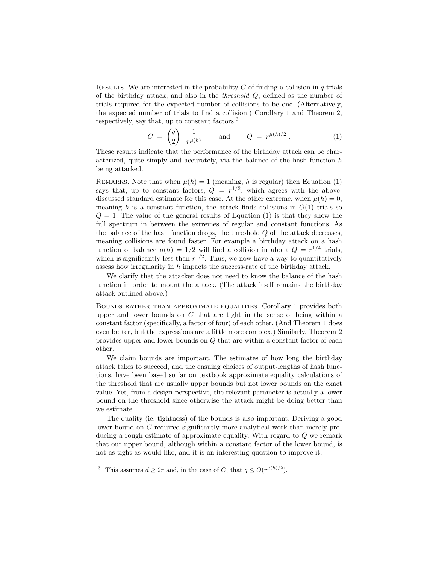RESULTS. We are interested in the probability C of finding a collision in  $q$  trials of the birthday attack, and also in the threshold Q, defined as the number of trials required for the expected number of collisions to be one. (Alternatively, the expected number of trials to find a collision.) Corollary 1 and Theorem 2, respectively, say that, up to constant factors,<sup>3</sup>

$$
C = \begin{pmatrix} q \\ 2 \end{pmatrix} \cdot \frac{1}{r^{\mu(h)}} \quad \text{and} \quad Q = r^{\mu(h)/2} . \tag{1}
$$

These results indicate that the performance of the birthday attack can be characterized, quite simply and accurately, via the balance of the hash function  $h$ being attacked.

REMARKS. Note that when  $\mu(h) = 1$  (meaning, h is regular) then Equation (1) says that, up to constant factors,  $Q = r^{1/2}$ , which agrees with the abovediscussed standard estimate for this case. At the other extreme, when  $\mu(h) = 0$ , meaning h is a constant function, the attack finds collisions in  $O(1)$  trials so  $Q = 1$ . The value of the general results of Equation (1) is that they show the full spectrum in between the extremes of regular and constant functions. As the balance of the hash function drops, the threshold  $Q$  of the attack decreases, meaning collisions are found faster. For example a birthday attack on a hash function of balance  $\mu(h) = 1/2$  will find a collision in about  $Q = r^{1/4}$  trials, which is significantly less than  $r^{1/2}$ . Thus, we now have a way to quantitatively assess how irregularity in h impacts the success-rate of the birthday attack.

We clarify that the attacker does not need to know the balance of the hash function in order to mount the attack. (The attack itself remains the birthday attack outlined above.)

Bounds rather than approximate equalities. Corollary 1 provides both upper and lower bounds on  $C$  that are tight in the sense of being within a constant factor (specifically, a factor of four) of each other. (And Theorem 1 does even better, but the expressions are a little more complex.) Similarly, Theorem 2 provides upper and lower bounds on Q that are within a constant factor of each other.

We claim bounds are important. The estimates of how long the birthday attack takes to succeed, and the ensuing choices of output-lengths of hash functions, have been based so far on textbook approximate equality calculations of the threshold that are usually upper bounds but not lower bounds on the exact value. Yet, from a design perspective, the relevant parameter is actually a lower bound on the threshold since otherwise the attack might be doing better than we estimate.

The quality (ie. tightness) of the bounds is also important. Deriving a good lower bound on C required significantly more analytical work than merely producing a rough estimate of approximate equality. With regard to Q we remark that our upper bound, although within a constant factor of the lower bound, is not as tight as would like, and it is an interesting question to improve it.

<sup>&</sup>lt;sup>3</sup> This assumes  $d \geq 2r$  and, in the case of C, that  $q \leq O(r^{\mu(h)/2})$ .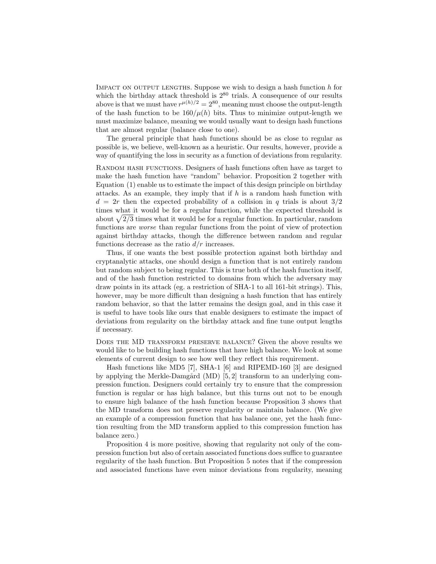IMPACT ON OUTPUT LENGTHS. Suppose we wish to design a hash function  $h$  for which the birthday attack threshold is  $2^{80}$  trials. A consequence of our results above is that we must have  $r^{\mu(h)/2} = 2^{80}$ , meaning must choose the output-length of the hash function to be  $160/\mu(h)$  bits. Thus to minimize output-length we must maximize balance, meaning we would usually want to design hash functions that are almost regular (balance close to one).

The general principle that hash functions should be as close to regular as possible is, we believe, well-known as a heuristic. Our results, however, provide a way of quantifying the loss in security as a function of deviations from regularity.

Random hash functions. Designers of hash functions often have as target to make the hash function have "random" behavior. Proposition 2 together with Equation (1) enable us to estimate the impact of this design principle on birthday attacks. As an example, they imply that if  $h$  is a random hash function with  $d = 2r$  then the expected probability of a collision in q trials is about  $3/2$ times what it would be for a regular function, while the expected threshold is times what it would be for a regular function, while the expected threshold is<br>about  $\sqrt{2/3}$  times what it would be for a regular function. In particular, random functions are worse than regular functions from the point of view of protection against birthday attacks, though the difference between random and regular functions decrease as the ratio  $d/r$  increases.

Thus, if one wants the best possible protection against both birthday and cryptanalytic attacks, one should design a function that is not entirely random but random subject to being regular. This is true both of the hash function itself, and of the hash function restricted to domains from which the adversary may draw points in its attack (eg. a restriction of SHA-1 to all 161-bit strings). This, however, may be more difficult than designing a hash function that has entirely random behavior, so that the latter remains the design goal, and in this case it is useful to have tools like ours that enable designers to estimate the impact of deviations from regularity on the birthday attack and fine tune output lengths if necessary.

Does the MD transform preserve balance? Given the above results we would like to be building hash functions that have high balance. We look at some elements of current design to see how well they reflect this requirement.

Hash functions like MD5 [7], SHA-1 [6] and RIPEMD-160 [3] are designed by applying the Merkle-Damgård (MD)  $[5, 2]$  transform to an underlying compression function. Designers could certainly try to ensure that the compression function is regular or has high balance, but this turns out not to be enough to ensure high balance of the hash function because Proposition 3 shows that the MD transform does not preserve regularity or maintain balance. (We give an example of a compression function that has balance one, yet the hash function resulting from the MD transform applied to this compression function has balance zero.)

Proposition 4 is more positive, showing that regularity not only of the compression function but also of certain associated functions does suffice to guarantee regularity of the hash function. But Proposition 5 notes that if the compression and associated functions have even minor deviations from regularity, meaning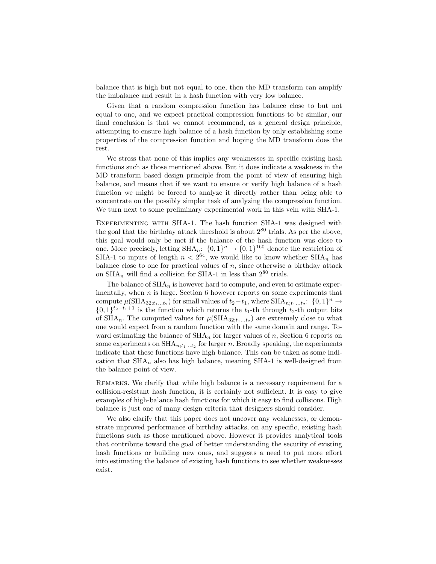balance that is high but not equal to one, then the MD transform can amplify the imbalance and result in a hash function with very low balance.

Given that a random compression function has balance close to but not equal to one, and we expect practical compression functions to be similar, our final conclusion is that we cannot recommend, as a general design principle, attempting to ensure high balance of a hash function by only establishing some properties of the compression function and hoping the MD transform does the rest.

We stress that none of this implies any weaknesses in specific existing hash functions such as those mentioned above. But it does indicate a weakness in the MD transform based design principle from the point of view of ensuring high balance, and means that if we want to ensure or verify high balance of a hash function we might be forced to analyze it directly rather than being able to concentrate on the possibly simpler task of analyzing the compression function. We turn next to some preliminary experimental work in this vein with SHA-1.

Experimenting with SHA-1. The hash function SHA-1 was designed with the goal that the birthday attack threshold is about  $2^{80}$  trials. As per the above, this goal would only be met if the balance of the hash function was close to one. More precisely, letting  $\text{SHA}_n: \{0,1\}^n \to \{0,1\}^{160}$  denote the restriction of SHA-1 to inputs of length  $n < 2^{64}$ , we would like to know whether SHA<sub>n</sub> has balance close to one for practical values of  $n$ , since otherwise a birthday attack on  $\text{SHA}_n$  will find a collision for SHA-1 in less than  $2^{80}$  trials.

The balance of  $\text{SHA}_n$  is however hard to compute, and even to estimate experimentally, when  $n$  is large. Section 6 however reports on some experiments that compute  $\mu(\text{SHA}_{32;t_1...t_2})$  for small values of  $t_2-t_1$ , where  $\text{SHA}_{n;t_1...t_2}$ :  $\{0,1\}^n \to$  $\{0,1\}^{t_2-t_1+1}$  is the function which returns the  $t_1$ -th through  $t_2$ -th output bits of  $\text{SHA}_n$ . The computed values for  $\mu(\text{SHA}_{32;t_1...t_2})$  are extremely close to what one would expect from a random function with the same domain and range. Toward estimating the balance of  $\text{SHA}_n$  for larger values of n, Section 6 reports on some experiments on  $\text{SHA}_{n; t_1...t_2}$  for larger n. Broadly speaking, the experiments indicate that these functions have high balance. This can be taken as some indication that  $\text{SHA}_n$  also has high balance, meaning SHA-1 is well-designed from the balance point of view.

Remarks. We clarify that while high balance is a necessary requirement for a collision-resistant hash function, it is certainly not sufficient. It is easy to give examples of high-balance hash functions for which it easy to find collisions. High balance is just one of many design criteria that designers should consider.

We also clarify that this paper does not uncover any weaknesses, or demonstrate improved performance of birthday attacks, on any specific, existing hash functions such as those mentioned above. However it provides analytical tools that contribute toward the goal of better understanding the security of existing hash functions or building new ones, and suggests a need to put more effort into estimating the balance of existing hash functions to see whether weaknesses exist.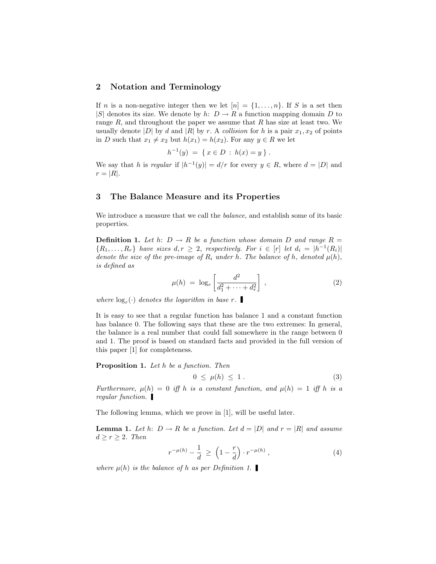### 2 Notation and Terminology

If *n* is a non-negative integer then we let  $[n] = \{1, \ldots, n\}$ . If *S* is a set then |S| denotes its size. We denote by h:  $D \to R$  a function mapping domain D to range  $R$ , and throughout the paper we assume that  $R$  has size at least two. We usually denote |D| by d and |R| by r. A collision for h is a pair  $x_1, x_2$  of points in D such that  $x_1 \neq x_2$  but  $h(x_1) = h(x_2)$ . For any  $y \in R$  we let

$$
h^{-1}(y) = \{ x \in D : h(x) = y \} .
$$

We say that h is regular if  $|h^{-1}(y)| = d/r$  for every  $y \in R$ , where  $d = |D|$  and  $r = |R|$ .

# 3 The Balance Measure and its Properties

We introduce a measure that we call the *balance*, and establish some of its basic properties.

**Definition 1.** Let h:  $D \rightarrow R$  be a function whose domain D and range  $R =$  $\{R_1, \ldots, R_r\}$  have sizes  $d, r \geq 2$ , respectively. For  $i \in [r]$  let  $d_i = |h^{-1}(R_i)|$ denote the size of the pre-image of  $R_i$  under h. The balance of h, denoted  $\mu(h)$ , is defined as

$$
\mu(h) \ = \ \log_r \left[ \frac{d^2}{d_1^2 + \dots + d_r^2} \right] \,, \tag{2}
$$

where  $\log_r(\cdot)$  denotes the logarithm in base r.

It is easy to see that a regular function has balance 1 and a constant function has balance 0. The following says that these are the two extremes: In general, the balance is a real number that could fall somewhere in the range between 0 and 1. The proof is based on standard facts and provided in the full version of this paper [1] for completeness.

Proposition 1. Let h be a function. Then

$$
0 \le \mu(h) \le 1. \tag{3}
$$

Furthermore,  $\mu(h) = 0$  iff h is a constant function, and  $\mu(h) = 1$  iff h is a regular function.

The following lemma, which we prove in [1], will be useful later.

**Lemma 1.** Let h:  $D \to R$  be a function. Let  $d = |D|$  and  $r = |R|$  and assume  $d \geq r \geq 2$ . Then

$$
r^{-\mu(h)} - \frac{1}{d} \ge \left(1 - \frac{r}{d}\right) \cdot r^{-\mu(h)}, \tag{4}
$$

where  $\mu(h)$  is the balance of h as per Definition 1.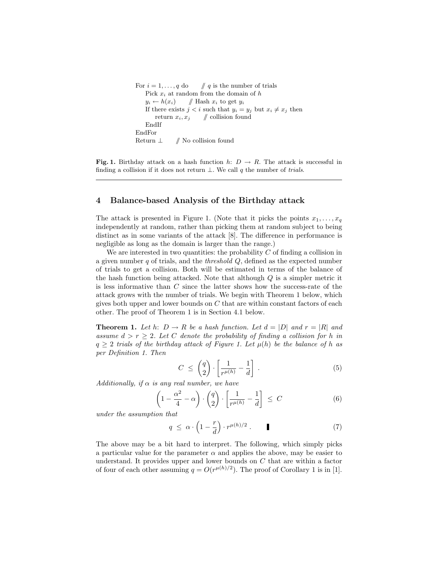For  $i = 1, \ldots, q$  do  $\#q$  is the number of trials Pick  $x_i$  at random from the domain of  $h$  $y_i \leftarrow h(x_i)$  // Hash  $x_i$  to get  $y_i$ If there exists  $j < i$  such that  $y_i = y_j$  but  $x_i \neq x_j$  then return  $x_i, x_j$  // collision found EndIf EndFor Return  $\perp$  // No collision found

**Fig. 1.** Birthday attack on a hash function h:  $D \rightarrow R$ . The attack is successful in finding a collision if it does not return  $\bot$ . We call q the number of trials.

#### 4 Balance-based Analysis of the Birthday attack

The attack is presented in Figure 1. (Note that it picks the points  $x_1, \ldots, x_q$ independently at random, rather than picking them at random subject to being distinct as in some variants of the attack [8]. The difference in performance is negligible as long as the domain is larger than the range.)

We are interested in two quantities: the probability  $C$  of finding a collision in a given number q of trials, and the *threshold*  $Q$ , defined as the expected number of trials to get a collision. Both will be estimated in terms of the balance of the hash function being attacked. Note that although  $Q$  is a simpler metric it is less informative than C since the latter shows how the success-rate of the attack grows with the number of trials. We begin with Theorem 1 below, which gives both upper and lower bounds on  $C$  that are within constant factors of each other. The proof of Theorem 1 is in Section 4.1 below.

**Theorem 1.** Let h:  $D \to R$  be a hash function. Let  $d = |D|$  and  $r = |R|$  and assume  $d > r \geq 2$ . Let C denote the probability of finding a collision for h in  $q \geq 2$  trials of the birthday attack of Figure 1. Let  $\mu(h)$  be the balance of h as per Definition 1. Then

$$
C \leq \binom{q}{2} \cdot \left[ \frac{1}{r^{\mu(h)}} - \frac{1}{d} \right] \,. \tag{5}
$$

Additionally, if  $\alpha$  is any real number, we have

$$
\left(1 - \frac{\alpha^2}{4} - \alpha\right) \cdot \left(\frac{q}{2}\right) \cdot \left[\frac{1}{r^{\mu(h)}} - \frac{1}{d}\right] \le C \tag{6}
$$

under the assumption that

$$
q \leq \alpha \cdot \left(1 - \frac{r}{d}\right) \cdot r^{\mu(h)/2} \,. \tag{7}
$$

The above may be a bit hard to interpret. The following, which simply picks a particular value for the parameter  $\alpha$  and applies the above, may be easier to understand. It provides upper and lower bounds on  $C$  that are within a factor of four of each other assuming  $q = O(r^{\mu(h)/2})$ . The proof of Corollary 1 is in [1].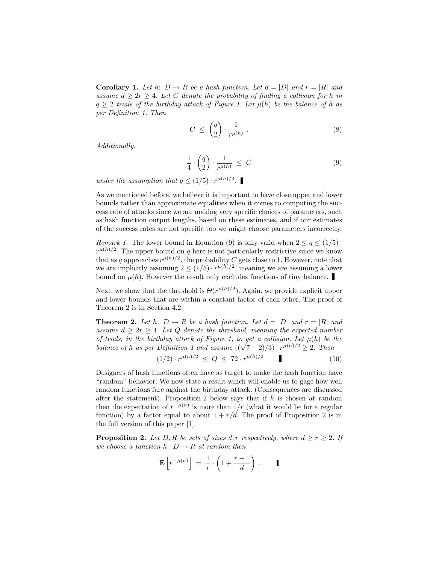**Corollary 1.** Let h:  $D \to R$  be a hash function. Let  $d = |D|$  and  $r = |R|$  and assume  $d \geq 2r \geq 4$ . Let C denote the probability of finding a collision for h in  $q \geq 2$  trials of the birthday attack of Figure 1. Let  $\mu(h)$  be the balance of h as per Definition 1. Then

$$
C \leq \binom{q}{2} \cdot \frac{1}{r^{\mu(h)}} \,. \tag{8}
$$

Additionally,

$$
\frac{1}{4} \cdot \binom{q}{2} \cdot \frac{1}{r^{\mu(h)}} \le C \tag{9}
$$

under the assumption that  $q \leq (1/5) \cdot r^{\mu(h)/2}$ .

As we mentioned before, we believe it is important to have close upper and lower bounds rather than approximate equalities when it comes to computing the success rate of attacks since we are making very specific choices of parameters, such as hash function output lengths, based on these estimates, and if our estimates of the success rates are not specific too we might choose parameters incorrectly.

Remark 1. The lower bound in Equation (9) is only valid when  $2 \leq q \leq (1/5)$ .  $r^{\mu(h)/2}$ . The upper bound on q here is not particularly restrictive since we know that as q approaches  $r^{\mu(h)/2}$ , the probability C gets close to 1. However, note that we are implicitly assuming  $2 \leq (1/5) \cdot r^{\mu(h)/2}$ , meaning we are assuming a lower bound on  $\mu(h)$ . However the result only excludes functions of tiny balance.

Next, we show that the threshold is  $\Theta(r^{\mu(h)/2})$ . Again, we provide explicit upper and lower bounds that are within a constant factor of each other. The proof of Theorem 2 is in Section 4.2.

**Theorem 2.** Let h:  $D \to R$  be a hash function. Let  $d = |D|$  and  $r = |R|$  and assume  $d > 2r > 4$ . Let Q denote the threshold, meaning the expected number of trials, in the birthday attack of Figure 1, to get a collision. Let  $\mu(h)$  be the of trials, in the oirthaay attack of Figure 1, to get a collision. Let  $\mu(n)$  be a balance of h as per Definition 1 and assume  $((\sqrt{7}-2)/3) \cdot r^{\mu(h)/2} \geq 2$ . Then

$$
(1/2) \cdot r^{\mu(h)/2} \le Q \le 72 \cdot r^{\mu(h)/2} \tag{10}
$$

Designers of hash functions often have as target to make the hash function have "random" behavior. We now state a result which will enable us to gage how well random functions fare against the birthday attack. (Consequences are discussed after the statement). Proposition 2 below says that if  $h$  is chosen at random then the expectation of  $r^{-\mu(h)}$  is more than  $1/r$  (what it would be for a regular function) by a factor equal to about  $1 + r/d$ . The proof of Proposition 2 is in the full version of this paper [1].

**Proposition 2.** Let D, R be sets of sizes d, r respectively, where  $d \geq r \geq 2$ . If we choose a function h:  $D \rightarrow R$  at random then

$$
\mathbf{E}\left[r^{-\mu(h)}\right] = \frac{1}{r} \cdot \left(1 + \frac{r-1}{d}\right) . \qquad \blacksquare
$$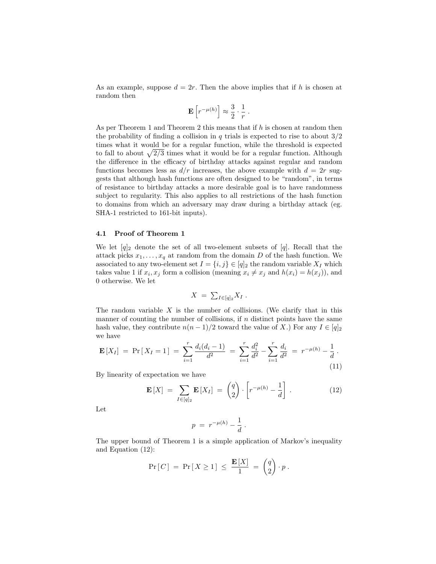As an example, suppose  $d = 2r$ . Then the above implies that if h is chosen at random then

$$
\mathbf{E}\left[r^{-\mu(h)}\right] \approx \frac{3}{2} \cdot \frac{1}{r} .
$$

As per Theorem 1 and Theorem 2 this means that if  $h$  is chosen at random then the probability of finding a collision in q trials is expected to rise to about  $3/2$ times what it would be for a regular function, while the threshold is expected times what it would be for a regular function, while the threshold is expected<br>to fall to about  $\sqrt{2/3}$  times what it would be for a regular function. Although the difference in the efficacy of birthday attacks against regular and random functions becomes less as  $d/r$  increases, the above example with  $d = 2r$  suggests that although hash functions are often designed to be "random", in terms of resistance to birthday attacks a more desirable goal is to have randomness subject to regularity. This also applies to all restrictions of the hash function to domains from which an adversary may draw during a birthday attack (eg. SHA-1 restricted to 161-bit inputs).

#### 4.1 Proof of Theorem 1

We let  $[q]_2$  denote the set of all two-element subsets of [q]. Recall that the attack picks  $x_1, \ldots, x_q$  at random from the domain D of the hash function. We associated to any two-element set  $I = \{i, j\} \in [q]_2$  the random variable  $X_I$  which takes value 1 if  $x_i, x_j$  form a collision (meaning  $x_i \neq x_j$  and  $h(x_i) = h(x_j)$ ), and 0 otherwise. We let

$$
X = \sum_{I \in [q]_2} X_I \, .
$$

The random variable  $X$  is the number of collisions. (We clarify that in this manner of counting the number of collisions, if  $n$  distinct points have the same hash value, they contribute  $n(n-1)/2$  toward the value of X.) For any  $I \in [q]_2$ we have

$$
\mathbf{E}\left[X_{I}\right] = \Pr\left[X_{I} = 1\right] = \sum_{i=1}^{r} \frac{d_{i}(d_{i} - 1)}{d^{2}} = \sum_{i=1}^{r} \frac{d_{i}^{2}}{d^{2}} - \sum_{i=1}^{r} \frac{d_{i}}{d^{2}} = r^{-\mu(h)} - \frac{1}{d}.
$$
\n(11)

By linearity of expectation we have

$$
\mathbf{E}\left[X\right] = \sum_{I \in [q]_2} \mathbf{E}\left[X_I\right] = \begin{pmatrix} q \\ 2 \end{pmatrix} \cdot \left[r^{-\mu(h)} - \frac{1}{d}\right]. \tag{12}
$$

Let

$$
p = r^{-\mu(h)} - \frac{1}{d} \, .
$$

The upper bound of Theorem 1 is a simple application of Markov's inequality and Equation (12):

$$
\Pr[C] = \Pr[X \ge 1] \le \frac{\mathbf{E}[X]}{1} = \begin{pmatrix} q \\ 2 \end{pmatrix} \cdot p.
$$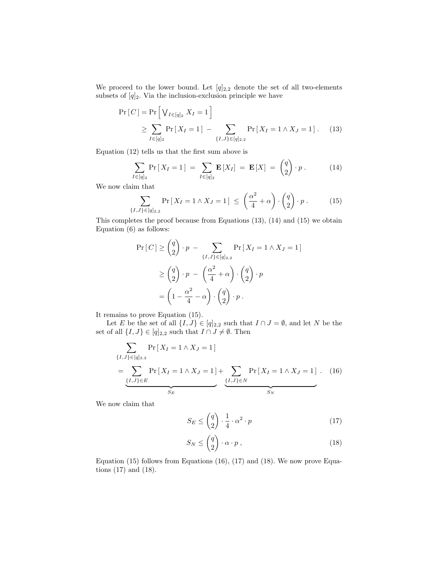We proceed to the lower bound. Let  $[q]_{2,2}$  denote the set of all two-elements subsets of  $[q]_2$ . Via the inclusion-exclusion principle we have

$$
\Pr[C] = \Pr\left[\bigvee_{I \in [q]_2} X_I = 1\right] \\
\ge \sum_{I \in [q]_2} \Pr\left[X_I = 1\right] - \sum_{\{I, J\} \in [q]_{2,2}} \Pr\left[X_I = 1 \land X_J = 1\right].\n\tag{13}
$$

Equation (12) tells us that the first sum above is

$$
\sum_{I \in [q]_2} \Pr\left[X_I = 1\right] = \sum_{I \in [q]_2} \mathbf{E}\left[X_I\right] = \mathbf{E}\left[X\right] = \binom{q}{2} \cdot p \,. \tag{14}
$$

We now claim that

$$
\sum_{\{I,J\} \in [q]_{2,2}} \Pr\left[X_I = 1 \land X_J = 1\right] \leq \left(\frac{\alpha^2}{4} + \alpha\right) \cdot \binom{q}{2} \cdot p \,. \tag{15}
$$

This completes the proof because from Equations (13), (14) and (15) we obtain Equation (6) as follows:

$$
\Pr[C] \ge \binom{q}{2} \cdot p - \sum_{\{I,J\} \in [q]_{2,2}} \Pr[X_I = 1 \land X_J = 1]
$$

$$
\ge \binom{q}{2} \cdot p - \binom{\alpha^2}{4} \cdot \binom{q}{2} \cdot p
$$

$$
= \left(1 - \frac{\alpha^2}{4} - \alpha\right) \cdot \binom{q}{2} \cdot p.
$$

It remains to prove Equation (15).

Let E be the set of all  $\{I, J\} \in [q]_{2,2}$  such that  $I \cap J = \emptyset$ , and let N be the set of all  $\{I, J\} \in [q]_{2,2}$  such that  $I \cap J \neq \emptyset$ . Then

$$
\sum_{\{I,J\} \in [q]_{2,2}} \Pr\left[X_I = 1 \land X_J = 1\right] \\
= \underbrace{\sum_{\{I,J\} \in E} \Pr\left[X_I = 1 \land X_J = 1\right]}_{S_E} + \underbrace{\sum_{\{I,J\} \in N} \Pr\left[X_I = 1 \land X_J = 1\right]}_{S_N} . \quad (16)
$$

We now claim that

$$
S_E \le \binom{q}{2} \cdot \frac{1}{4} \cdot \alpha^2 \cdot p \tag{17}
$$

$$
S_N \le \binom{q}{2} \cdot \alpha \cdot p \,,\tag{18}
$$

Equation (15) follows from Equations (16), (17) and (18). We now prove Equations (17) and (18).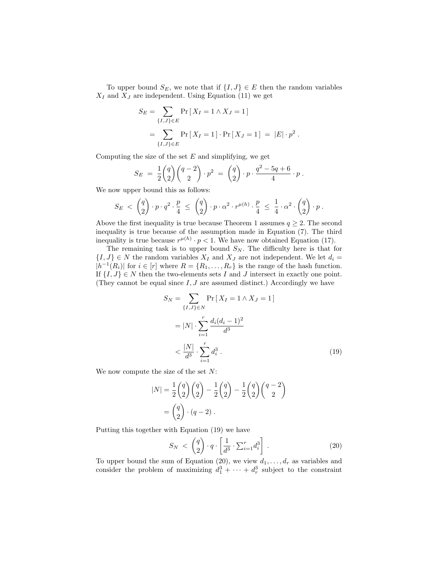To upper bound  $S_E$ , we note that if  $\{I, J\} \in E$  then the random variables  $X_I$  and  $X_J$  are independent. Using Equation (11) we get

$$
S_E = \sum_{\{I,J\} \in E} \Pr[X_I = 1 \land X_J = 1]
$$
  
= 
$$
\sum_{\{I,J\} \in E} \Pr[X_I = 1] \cdot \Pr[X_J = 1] = |E| \cdot p^2.
$$

Computing the size of the set  $E$  and simplifying, we get

$$
S_E = \frac{1}{2} {q \choose 2} {q-2 \choose 2} \cdot p^2 = {q \choose 2} \cdot p \cdot \frac{q^2 - 5q + 6}{4} \cdot p.
$$

We now upper bound this as follows:

$$
S_E \; < \; \begin{pmatrix} q \\ 2 \end{pmatrix} \cdot p \cdot q^2 \cdot \frac{p}{4} \; \leq \; \begin{pmatrix} q \\ 2 \end{pmatrix} \cdot p \cdot \alpha^2 \cdot r^{\mu(h)} \cdot \frac{p}{4} \; \leq \; \frac{1}{4} \cdot \alpha^2 \cdot \begin{pmatrix} q \\ 2 \end{pmatrix} \cdot p \; .
$$

Above the first inequality is true because Theorem 1 assumes  $q \geq 2$ . The second inequality is true because of the assumption made in Equation (7). The third inequality is true because  $r^{\mu(h)} \cdot p < 1$ . We have now obtained Equation (17).

The remaining task is to upper bound  $S_N$ . The difficulty here is that for  $\{I, J\} \in N$  the random variables  $X_I$  and  $X_J$  are not independent. We let  $d_i =$  $|h^{-1}(R_i)|$  for  $i \in [r]$  where  $R = \{R_1, \ldots, R_r\}$  is the range of the hash function. If  $\{I, J\} \in N$  then the two-elements sets I and J intersect in exactly one point. (They cannot be equal since  $I, J$  are assumed distinct.) Accordingly we have

$$
S_N = \sum_{\{I,J\} \in N} \Pr[X_I = 1 \land X_J = 1]
$$
  
=  $|N| \cdot \sum_{i=1}^r \frac{d_i (d_i - 1)^2}{d^3}$   
<  $\frac{|N|}{d^3} \cdot \sum_{i=1}^r d_i^3$ . (19)

We now compute the size of the set  $N$ :

$$
|N| = \frac{1}{2} \binom{q}{2} \binom{q}{2} - \frac{1}{2} \binom{q}{2} - \frac{1}{2} \binom{q}{2} \binom{q-2}{2} \\
= \binom{q}{2} \cdot (q-2) .
$$

Putting this together with Equation  $(19)$  we have

$$
S_N \langle \begin{pmatrix} q \\ 2 \end{pmatrix} \cdot q \cdot \left[ \frac{1}{d^3} \cdot \sum_{i=1}^r d_i^3 \right] \,. \tag{20}
$$

To upper bound the sum of Equation (20), we view  $d_1, \ldots, d_r$  as variables and consider the problem of maximizing  $d_1^3 + \cdots + d_r^3$  subject to the constraint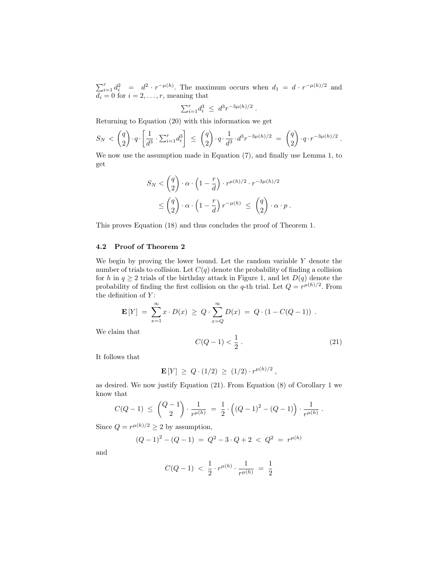$\sum_{i=1}^{r} d_i^2 = d^2 \cdot r^{-\mu(h)}$ . The maximum occurs when  $d_1 = d \cdot r^{-\mu(h)/2}$  and  $d_i = 0$  for  $i = 2, \ldots, r$ , meaning that

$$
\sum_{i=1}^r d_i^3 \ \leq \ d^3 r^{-3\mu(h)/2} \ .
$$

Returning to Equation (20) with this information we get

$$
S_N \, < \, \left(\frac{q}{2}\right) \cdot q \cdot \left[\frac{1}{d^3} \cdot \sum_{i=1}^r d_i^3\right] \; \le \; \left(\frac{q}{2}\right) \cdot q \cdot \frac{1}{d^3} \cdot d^3 r^{-3\mu(h)/2} \; = \; \left(\frac{q}{2}\right) \cdot q \cdot r^{-3\mu(h)/2} \; .
$$

We now use the assumption made in Equation (7), and finally use Lemma 1, to get

$$
S_N < \binom{q}{2} \cdot \alpha \cdot \left(1 - \frac{r}{d}\right) \cdot r^{\mu(h)/2} \cdot r^{-3\mu(h)/2}
$$
\n
$$
\leq \binom{q}{2} \cdot \alpha \cdot \left(1 - \frac{r}{d}\right) r^{-\mu(h)} \leq \binom{q}{2} \cdot \alpha \cdot p \, .
$$

This proves Equation (18) and thus concludes the proof of Theorem 1.

# 4.2 Proof of Theorem 2

We begin by proving the lower bound. Let the random variable  $Y$  denote the number of trials to collision. Let  $C(q)$  denote the probability of finding a collision for h in  $q \ge 2$  trials of the birthday attack in Figure 1, and let  $D(q)$  denote the probability of finding the first collision on the q-th trial. Let  $Q = r^{\mu(h)/2}$ . From the definition of  $Y$ :

$$
\mathbf{E}[Y] = \sum_{x=1}^{\infty} x \cdot D(x) \ge Q \cdot \sum_{x=Q}^{\infty} D(x) = Q \cdot (1 - C(Q-1)) \; .
$$

We claim that

$$
C(Q-1) < \frac{1}{2} \tag{21}
$$

It follows that

 $\mathbf{E}[Y] \geq Q \cdot (1/2) \geq (1/2) \cdot r^{\mu(h)/2}$ ,

as desired. We now justify Equation (21). From Equation (8) of Corollary 1 we know that

$$
C(Q-1) \ \leq \ {Q-1 \choose 2} \cdot \frac{1}{r^{\mu(h)}} \ = \ \frac{1}{2} \cdot \left( (Q-1)^2 - (Q-1) \right) \cdot \frac{1}{r^{\mu(h)}} \ .
$$

Since  $Q = r^{\mu(h)/2} \geq 2$  by assumption,

$$
(Q-1)^2 - (Q-1) = Q^2 - 3 \cdot Q + 2 < Q^2 = r^{\mu(h)}
$$

and

$$
C(Q-1) \; < \; \frac{1}{2} \cdot r^{\mu(h)} \cdot \frac{1}{r^{\mu(h)}} \; = \; \frac{1}{2}
$$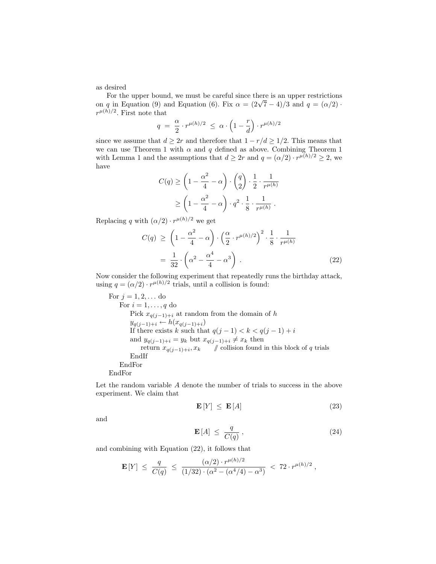as desired

For the upper bound, we must be careful since there is an upper restrictions For the upper bound, we must be careful since there is an upper restrictions<br>on q in Equation (9) and Equation (6). Fix  $\alpha = (2\sqrt{7} - 4)/3$  and  $q = (\alpha/2)$ .  $r^{\mu(h)/2}$ . First note that  $\overline{a}$ ´

$$
q \; = \; \frac{\alpha}{2} \cdot r^{\mu(h)/2} \; \leq \; \alpha \cdot \left( 1 - \frac{r}{d} \right) \cdot r^{\mu(h)/2}
$$

since we assume that  $d \geq 2r$  and therefore that  $1 - r/d \geq 1/2$ . This means that we can use Theorem 1 with  $\alpha$  and q defined as above. Combining Theorem 1 with Lemma 1 and the assumptions that  $d \geq 2r$  and  $q = (\alpha/2) \cdot r^{\mu(h)/2} \geq 2$ , we have  $\overline{a}$  $\mathbf{r}$  $\overline{a}$  $\mathbf{r}$ 

$$
C(q) \ge \left(1 - \frac{\alpha^2}{4} - \alpha\right) \cdot \binom{q}{2} \cdot \frac{1}{2} \cdot \frac{1}{r^{\mu(h)}}
$$

$$
\ge \left(1 - \frac{\alpha^2}{4} - \alpha\right) \cdot q^2 \cdot \frac{1}{8} \cdot \frac{1}{r^{\mu(h)}}.
$$

Replacing q with  $(\alpha/2) \cdot r^{\mu(h)/2}$  we get

$$
C(q) \ge \left(1 - \frac{\alpha^2}{4} - \alpha\right) \cdot \left(\frac{\alpha}{2} \cdot r^{\mu(h)/2}\right)^2 \cdot \frac{1}{8} \cdot \frac{1}{r^{\mu(h)}}
$$

$$
= \frac{1}{32} \cdot \left(\alpha^2 - \frac{\alpha^4}{4} - \alpha^3\right) . \tag{22}
$$

Now consider the following experiment that repeatedly runs the birthday attack, using  $q = (\alpha/2) \cdot r^{\mu(h)/2}$  trials, until a collision is found:

For  $j = 1, 2, ...$  do For  $i = 1, \ldots, q$  do Pick  $x_{q(j-1)+i}$  at random from the domain of h  $y_{q(j-1)+i} \leftarrow h(x_{q(j-1)+i})$ If there exists k such that  $q(j-1) < k < q(j-1) + i$ and  $y_{q(j-1)+i} = y_k$  but  $x_{q(j-1)+i} \neq x_k$  then return  $x_{q(j-1)+i}, x_k$  // collision found in this block of q trials EndIf EndFor EndFor

Let the random variable A denote the number of trials to success in the above experiment. We claim that

$$
\mathbf{E}\left[Y\right] \leq \mathbf{E}\left[A\right] \tag{23}
$$

and

$$
\mathbf{E}[A] \leq \frac{q}{C(q)}, \tag{24}
$$

and combining with Equation (22), it follows that

$$
\mathbf{E}\left[Y\right] \; \le \; \frac{q}{C(q)} \; \le \; \frac{(\alpha/2) \cdot r^{\mu(h)/2}}{(1/32) \cdot (\alpha^2 - (\alpha^4/4) - \alpha^3)} \; < \; 72 \cdot r^{\mu(h)/2} \; ,
$$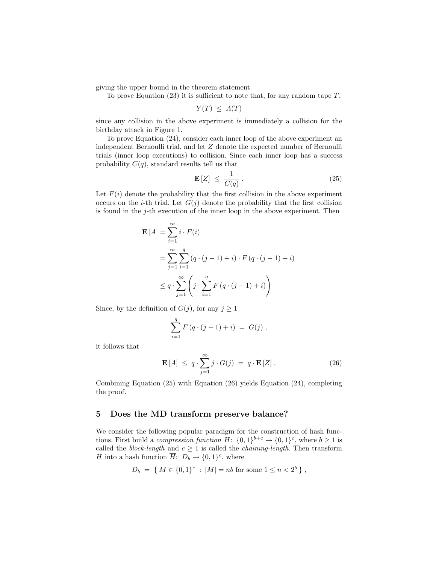giving the upper bound in the theorem statement.

To prove Equation  $(23)$  it is sufficient to note that, for any random tape  $T$ ,

$$
Y(T) \leq A(T)
$$

since any collision in the above experiment is immediately a collision for the birthday attack in Figure 1.

To prove Equation (24), consider each inner loop of the above experiment an independent Bernoulli trial, and let Z denote the expected number of Bernoulli trials (inner loop executions) to collision. Since each inner loop has a success probability  $C(q)$ , standard results tell us that

$$
\mathbf{E}\left[Z\right] \leq \frac{1}{C(q)}\,. \tag{25}
$$

Let  $F(i)$  denote the probability that the first collision in the above experiment occurs on the *i*-th trial. Let  $G(j)$  denote the probability that the first collision is found in the  $j$ -th execution of the inner loop in the above experiment. Then

$$
\mathbf{E}[A] = \sum_{i=1}^{\infty} i \cdot F(i)
$$
  
= 
$$
\sum_{j=1}^{\infty} \sum_{i=1}^{q} (q \cdot (j-1) + i) \cdot F(q \cdot (j-1) + i)
$$
  

$$
\leq q \cdot \sum_{j=1}^{\infty} \left( j \cdot \sum_{i=1}^{q} F(q \cdot (j-1) + i) \right)
$$

Since, by the definition of  $G(j)$ , for any  $j \ge 1$ 

$$
\sum_{i=1}^{q} F(q \cdot (j-1) + i) = G(j) ,
$$

it follows that

$$
\mathbf{E}[A] \leq q \cdot \sum_{j=1}^{\infty} j \cdot G(j) = q \cdot \mathbf{E}[Z]. \tag{26}
$$

Combining Equation (25) with Equation (26) yields Equation (24), completing the proof.

#### 5 Does the MD transform preserve balance?

We consider the following popular paradigm for the construction of hash functions. First build a *compression function*  $H: \{0,1\}^{b+c} \to \{0,1\}^c$ , where  $b \ge 1$  is called the *block-length* and  $c \geq 1$  is called the *chaining-length*. Then transform H into a hash function  $\overline{H}$ :  $D_b \rightarrow \{0,1\}^c$ , where

$$
D_b = \{ M \in \{0, 1\}^* : |M| = nb \text{ for some } 1 \le n < 2^b \},
$$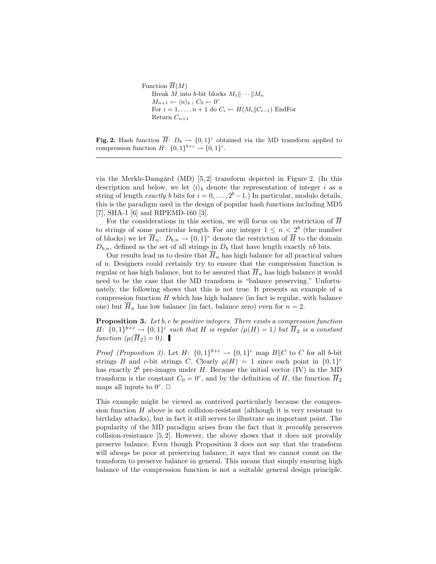Function  $\overline{H}(M)$ Break M into b-bit blocks  $M_1 \|\cdots\| M_n$  $M_{n+1} \leftarrow \langle n \rangle_b$ ;  $C_0 \leftarrow 0^c$ For  $i = 1, \ldots, n + 1$  do  $C_i \leftarrow H(M_i || C_{i-1})$  EndFor Return  $C_{n+1}$ 

**Fig. 2.** Hash function  $\overline{H}$ :  $D_b \rightarrow \{0,1\}^c$  obtained via the MD transform applied to compression function  $H: \{0,1\}^{b+c} \to \{0,1\}^c$ .

via the Merkle-Damgård (MD)  $[5,2]$  transform depicted in Figure 2. (In this description and below, we let  $\langle i \rangle_b$  denote the representation of integer i as a string of length *exactly b* bits for  $i = 0, \ldots, 2^b - 1$ . In particular, modulo details, this is the paradigm used in the design of popular hash functions including MD5 [7], SHA-1 [6] and RIPEMD-160 [3].

For the considerations in this section, we will focus on the restriction of  $\overline{H}$ to strings of some particular length. For any integer  $1 \leq n < 2^b$  (the number of blocks) we let  $\overline{H}_n: D_{b,n} \to \{0,1\}^c$  denote the restriction of  $\overline{H}$  to the domain  $D_{b,n}$ , defined as the set of all strings in  $D_b$  that have length exactly nb bits.

Our results lead us to desire that  $\overline{H}_n$  has high balance for all practical values of n. Designers could certainly try to ensure that the compression function is regular or has high balance, but to be assured that  $H_n$  has high balance it would need to be the case that the MD transform is "balance preserving." Unfortunately, the following shows that this is not true. It presents an example of a compression function  $H$  which has high balance (in fact is regular, with balance one) but  $\overline{H}_n$  has low balance (in fact, balance zero) even for  $n = 2$ .

**Proposition 3.** Let  $b$ ,  $c$  be positive integers. There exists a compression function H:  $\{0,1\}^{b+c} \rightarrow \{0,1\}^c$  such that H is regular  $(\mu(H) = 1)$  but  $\overline{H}_2$  is a constant function  $(\mu(\overline{H}_2) = 0)$ .

*Proof (Proposition 3)*. Let  $H: \{0,1\}^{b+c} \to \{0,1\}^c$  map  $B||C$  to C for all b-bit strings B and c-bit strings C. Clearly  $\mu(H) = 1$  since each point in  $\{0,1\}^c$ has exactly  $2^b$  pre-images under H. Because the initial vector (IV) in the MD transform is the constant  $C_0 = 0^c$ , and by the definition of H, the function  $\overline{H}_2$ maps all inputs to  $0^c$ .  $\Box$ 

This example might be viewed as contrived particularly because the compression function  $H$  above is not collision-resistant (although it is very resistant to birthday attacks), but in fact it still serves to illustrate an important point. The popularity of the MD paradigm arises from the fact that it provably preserves collision-resistance [5, 2]. However, the above shows that it does not provably preserve balance. Even though Proposition 3 does not say that the transform will *always* be poor at preserving balance, it says that we cannot count on the transform to preserve balance in general. This means that simply ensuring high balance of the compression function is not a suitable general design principle.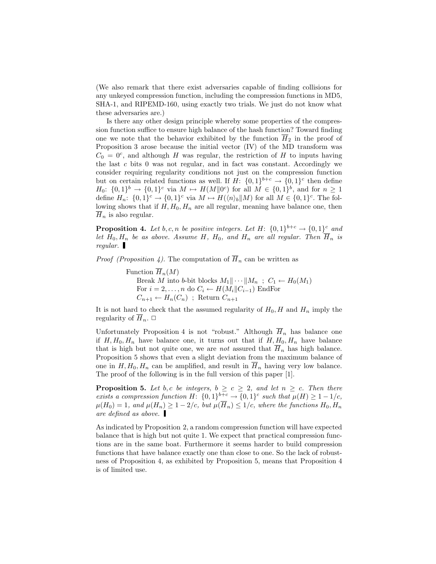(We also remark that there exist adversaries capable of finding collisions for any unkeyed compression function, including the compression functions in MD5, SHA-1, and RIPEMD-160, using exactly two trials. We just do not know what these adversaries are.)

Is there any other design principle whereby some properties of the compression function suffice to ensure high balance of the hash function? Toward finding one we note that the behavior exhibited by the function  $\overline{H}_2$  in the proof of Proposition 3 arose because the initial vector (IV) of the MD transform was  $C_0 = 0^c$ , and although H was regular, the restriction of H to inputs having the last  $c$  bits  $0$  was not regular, and in fact was constant. Accordingly we consider requiring regularity conditions not just on the compression function but on certain related functions as well. If  $H: \{0,1\}^{b+c} \to \{0,1\}^c$  then define  $H_0$ :  $\{0,1\}^b \rightarrow \{0,1\}^c$  via  $M \mapsto H(M||0^c)$  for all  $M \in \{0,1\}^b$ , and for  $n \geq 1$ define  $H_n: \{0,1\}^c \to \{0,1\}^c$  via  $M \mapsto H(\langle n \rangle_b | M)$  for all  $M \in \{0,1\}^c$ . The following shows that if  $H, H_0, H_n$  are all regular, meaning have balance one, then  $\overline{H}_n$  is also regular.

**Proposition 4.** Let b, c, n be positive integers. Let H:  $\{0,1\}^{b+c} \rightarrow \{0,1\}^c$  and let  $H_0, H_n$  be as above. Assume H,  $H_0$ , and  $H_n$  are all regular. Then  $\overline{H}_n$  is regular.

*Proof (Proposition 4)*. The computation of  $\overline{H}_n$  can be written as

Function  $\overline{H}_n(M)$ Break M into b-bit blocks  $M_1 \parallel \cdots \parallel M_n$ ;  $C_1 \leftarrow H_0(M_1)$ For  $i = 2, \ldots, n$  do  $C_i \leftarrow H(M_i||C_{i-1})$  EndFor  $C_{n+1} \leftarrow H_n(C_n)$ ; Return  $C_{n+1}$ 

It is not hard to check that the assumed regularity of  $H_0$ , H and  $H_n$  imply the regularity of  $\overline{H}_n$ .  $\Box$ 

Unfortunately Proposition 4 is not "robust." Although  $\overline{H}_n$  has balance one if  $H, H_0, H_n$  have balance one, it turns out that if  $H, H_0, H_n$  have balance that is high but not quite one, we are *not* assured that  $\overline{H}_n$  has high balance. Proposition 5 shows that even a slight deviation from the maximum balance of one in  $H, H_0, H_n$  can be amplified, and result in  $\overline{H}_n$  having very low balance. The proof of the following is in the full version of this paper [1].

**Proposition 5.** Let b, c be integers,  $b \ge c \ge 2$ , and let  $n \ge c$ . Then there exists a compression function H:  $\{0,1\}^{b+c} \rightarrow \{0,1\}^c$  such that  $\mu(H) \geq 1-1/c$ ,  $\mu(H_0) = 1$ , and  $\mu(H_n) \geq 1-2/c$ , but  $\mu(\overline{H}_n) \leq 1/c$ , where the functions  $H_0, H_n$ are defined as above.

As indicated by Proposition 2, a random compression function will have expected balance that is high but not quite 1. We expect that practical compression functions are in the same boat. Furthermore it seems harder to build compression functions that have balance exactly one than close to one. So the lack of robustness of Proposition 4, as exhibited by Proposition 5, means that Proposition 4 is of limited use.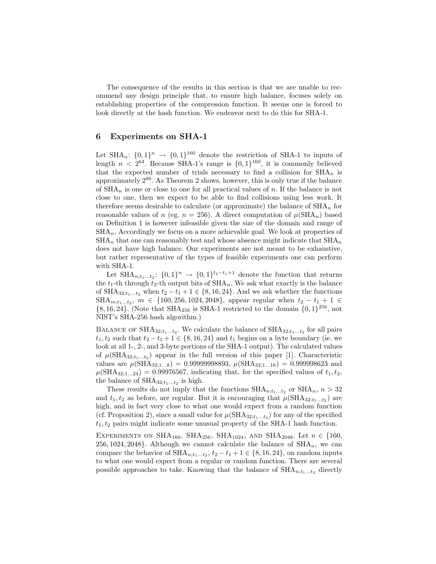The consequence of the results in this section is that we are unable to recommend any design principle that, to ensure high balance, focuses solely on establishing properties of the compression function. It seems one is forced to look directly at the hash function. We endeavor next to do this for SHA-1.

# 6 Experiments on SHA-1

Let  $\text{SHA}_n: \{0,1\}^n \rightarrow \{0,1\}^{160}$  denote the restriction of SHA-1 to inputs of length  $n < 2^{64}$ . Because SHA-1's range is  $\{0, 1\}^{160}$ , it is commonly believed that the expected number of trials necessary to find a collision for  $\text{SHA}_n$  is approximately 2<sup>80</sup>. As Theorem 2 shows, however, this is only true if the balance of  $\text{SHA}_n$  is one or close to one for all practical values of n. If the balance is not close to one, then we expect to be able to find collisions using less work. It therefore seems desirable to calculate (or approximate) the balance of  $\text{SHA}_n$  for reasonable values of n (eg.  $n = 256$ ). A direct computation of  $\mu(SHA_n)$  based on Definition 1 is however infeasible given the size of the domain and range of  $SHA_n$ . Accordingly we focus on a more achievable goal. We look at properties of  $\text{SHA}_n$  that one can reasonably test and whose absence might indicate that  $\text{SHA}_n$ does not have high balance. Our experiments are not meant to be exhaustive, but rather representative of the types of feasible experiments one can perform with SHA-1.

Let  $\text{SHA}_{n;t_1...t_2}: \{0,1\}^n \rightarrow \{0,1\}^{t_2-t_1+1}$  denote the function that returns the  $t_1$ -th through  $t_2$ -th output bits of  $SHA_n$ . We ask what exactly is the balance of SHA<sub>32;t<sub>1</sub>...t<sub>2</sub> when  $t_2 - t_1 + 1 \in \{8, 16, 24\}$ . And we ask whether the functions</sub>  $\text{SHA}_{m; t_1...t_2}, \ m \in \{160, 256, 1024, 2048\}, \ \text{appear regular when } t_2 - t_1 + 1 \in$  ${8, 16, 24}$ . (Note that SHA<sub>256</sub> is SHA-1 restricted to the domain  ${0, 1}^{256}$ , not NIST's SHA-256 hash algorithm.)

BALANCE OF SHA<sub>32;t<sub>1</sub>...t<sub>2</sub>. We calculate the balance of SHA<sub>32;t<sub>1</sub>...t<sub>2</sub> for all pairs</sub></sub>  $t_1, t_2$  such that  $t_2 - t_1 + 1 \in \{8, 16, 24\}$  and  $t_1$  begins on a byte boundary (ie. we look at all 1-, 2-, and 3-byte portions of the SHA-1 output). The calculated values of  $\mu(\text{SHA}_{32;t_1...t_2})$  appear in the full version of this paper [1]. Characteristic values are  $\mu(SHA_{32;1...8}) = 0.99999998893$ ,  $\mu(SHA_{32;1...16}) = 0.999998623$  and  $\mu(\text{SHA}_{32;1...24}) = 0.99976567$ , indicating that, for the specified values of  $t_1, t_2$ , the balance of  $\text{SHA}_{32;t_1...t_2}$  is high.

These results do not imply that the functions  $\text{SHA}_{n; t_1...t_2}$  or  $\text{SHA}_n$ ,  $n > 32$ and  $t_1, t_2$  as before, are regular. But it is encouraging that  $\mu(\text{SHA}_{32;t_1...t_2})$  are high, and in fact very close to what one would expect from a random function (cf. Proposition 2), since a small value for  $\mu(\text{SHA}_{32;t_1...t_2})$  for any of the specified  $t_1, t_2$  pairs might indicate some unusual property of the SHA-1 hash function.

EXPERIMENTS ON SHA<sub>160</sub>, SHA<sub>256</sub>, SHA<sub>1024</sub>, AND SHA<sub>2048</sub>. Let  $n \in \{160,$ 256, 1024, 2048}. Although we cannot calculate the balance of  $\text{SHA}_n$ , we can compare the behavior of  $\text{SHA}_{n;t_1...t_2}, t_2 - t_1 + 1 \in \{8, 16, 24\}$ , on random inputs to what one would expect from a regular or random function. There are several possible approaches to take. Knowing that the balance of  $\text{SHA}_{n;t_1...t_2}$  directly